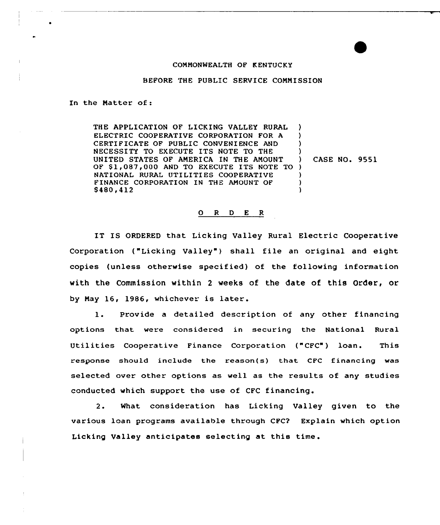## CONMONWEALTH OF KENTUCKY

## BEFORE THE PUBLIC SERVICE CONNISSION

In the Natter of:

THE APPLICATION OF LICKING VALLEY RURAL ELECTRIC COOPERATIVE CORPORATION FOR A CERTIFICATE OF PUBLIC CONVENIENCE AND NECESSITY TO EXECUTE ITS NOTE TO THE UNITED STATES OF ANERICA IN THE ANOUNT OF \$1,087,000 AND TO EXECUTE ITS NOTE TO ) NATIONAL RURAL UTILITIES COOPERATIVE FINANCE CORPORATION IN THE AMOUNT OF S480,412 ) ) ) ) ) CASE NO. 9551 ) ) )

## 0 R <sup>D</sup> E R

IT IS ORDERED that Licking Valley Rural Electric Cooperative Corporation ("Licking Valley") shall file an original and eight copies (unless otherwise specified) of the following information with the Commission within 2 weeks of the date of this Order, or by Nay 16, 1986, whichever is later.

l. Provide <sup>a</sup> detailed description of any other financing options that were considered in securing the National Rural Utilities Cooperative Finance Corporation ("CFC") loan. This response should include the reason{s} that CFC financing was selected over other options as well as the results of any studies conducted which support the use of CFC financing.

2. What consideration has Licking Valley given to the various loan programs available through CFC2 Explain which option Licking Valley anticipates selecting at this time.